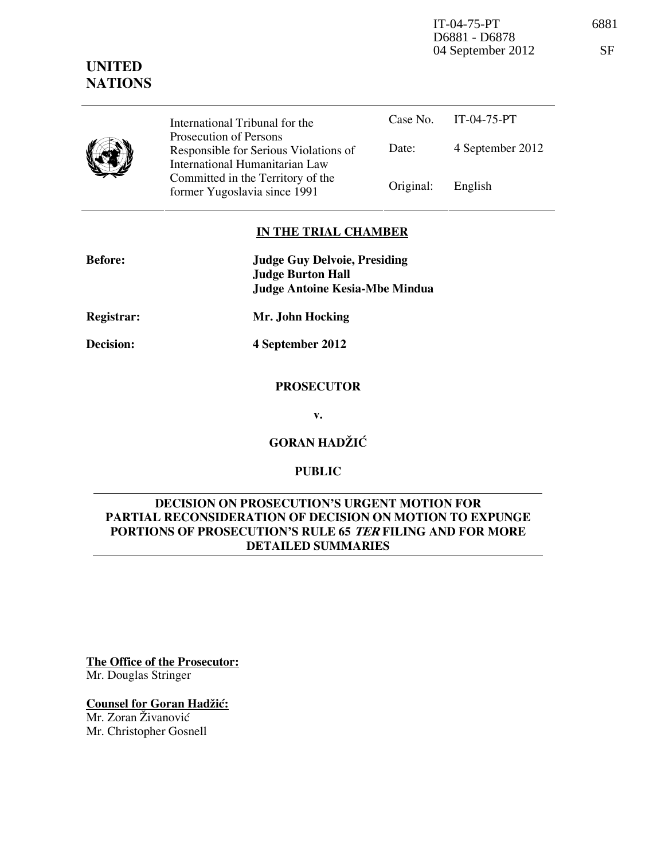IT-04-75-PT 6881 D6881 - D6878 04 September 2012 SF

# **UNITED NATIONS**

|  | International Tribunal for the                                                                    |           | Case No. IT-04-75-PT |
|--|---------------------------------------------------------------------------------------------------|-----------|----------------------|
|  | Prosecution of Persons<br>Responsible for Serious Violations of<br>International Humanitarian Law | Date:     | 4 September 2012     |
|  | Committed in the Territory of the<br>former Yugoslavia since 1991                                 | Original: | English              |

## **IN THE TRIAL CHAMBER**

| <b>Judge Guy Delvoie, Presiding</b> |
|-------------------------------------|
| <b>Judge Burton Hall</b>            |
| Judge Antoine Kesia-Mbe Mindua      |
|                                     |

**Registrar: Mr. John Hocking** 

**Decision: 4 September 2012** 

#### **PROSECUTOR**

**v.** 

**GORAN HADŽIĆ** 

## **PUBLIC**

## **DECISION ON PROSECUTION'S URGENT MOTION FOR PARTIAL RECONSIDERATION OF DECISION ON MOTION TO EXPUNGE PORTIONS OF PROSECUTION'S RULE 65 TER FILING AND FOR MORE DETAILED SUMMARIES**

**The Office of the Prosecutor:** Mr. Douglas Stringer

#### **Counsel for Goran Hadžić:**

Mr. Zoran Živanović Mr. Christopher Gosnell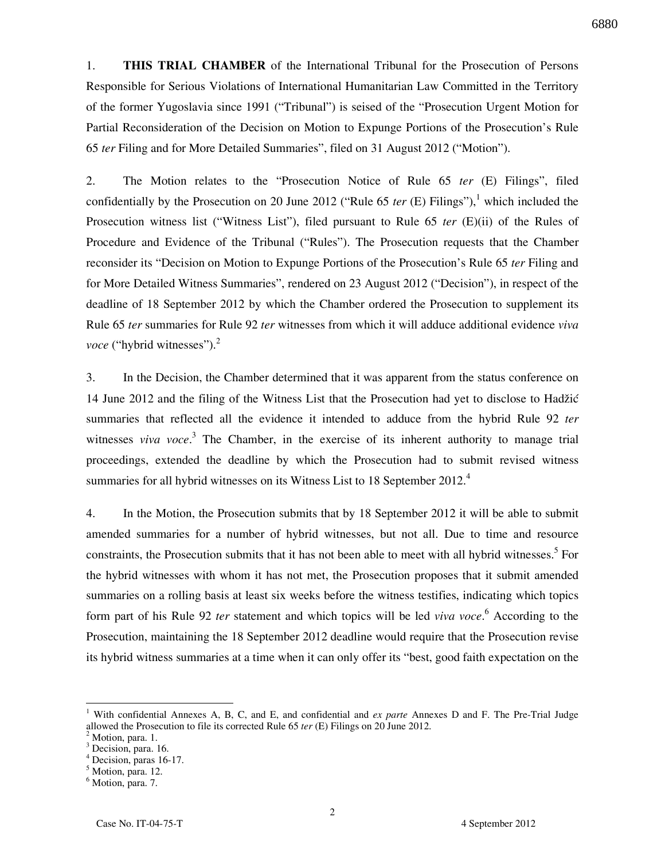1. **THIS TRIAL CHAMBER** of the International Tribunal for the Prosecution of Persons Responsible for Serious Violations of International Humanitarian Law Committed in the Territory of the former Yugoslavia since 1991 ("Tribunal") is seised of the "Prosecution Urgent Motion for Partial Reconsideration of the Decision on Motion to Expunge Portions of the Prosecution's Rule 65 *ter* Filing and for More Detailed Summaries", filed on 31 August 2012 ("Motion").

2. The Motion relates to the "Prosecution Notice of Rule 65 *ter* (E) Filings", filed confidentially by the Prosecution on 20 June 2012 ("Rule 65 *ter*  $(E)$  Filings"),<sup>1</sup> which included the Prosecution witness list ("Witness List"), filed pursuant to Rule 65 *ter* (E)(ii) of the Rules of Procedure and Evidence of the Tribunal ("Rules"). The Prosecution requests that the Chamber reconsider its "Decision on Motion to Expunge Portions of the Prosecution's Rule 65 *ter* Filing and for More Detailed Witness Summaries", rendered on 23 August 2012 ("Decision"), in respect of the deadline of 18 September 2012 by which the Chamber ordered the Prosecution to supplement its Rule 65 *ter* summaries for Rule 92 *ter* witnesses from which it will adduce additional evidence *viva voce* ("hybrid witnesses").<sup>2</sup>

3. In the Decision, the Chamber determined that it was apparent from the status conference on 14 June 2012 and the filing of the Witness List that the Prosecution had yet to disclose to Hadžić summaries that reflected all the evidence it intended to adduce from the hybrid Rule 92 *ter*  witnesses *viva voce*.<sup>3</sup> The Chamber, in the exercise of its inherent authority to manage trial proceedings, extended the deadline by which the Prosecution had to submit revised witness summaries for all hybrid witnesses on its Witness List to 18 September  $2012<sup>4</sup>$ 

4. In the Motion, the Prosecution submits that by 18 September 2012 it will be able to submit amended summaries for a number of hybrid witnesses, but not all. Due to time and resource constraints, the Prosecution submits that it has not been able to meet with all hybrid witnesses.<sup>5</sup> For the hybrid witnesses with whom it has not met, the Prosecution proposes that it submit amended summaries on a rolling basis at least six weeks before the witness testifies, indicating which topics form part of his Rule 92 *ter* statement and which topics will be led *viva voce*. 6 According to the Prosecution, maintaining the 18 September 2012 deadline would require that the Prosecution revise its hybrid witness summaries at a time when it can only offer its "best, good faith expectation on the

-

<sup>&</sup>lt;sup>1</sup> With confidential Annexes A, B, C, and E, and confidential and *ex parte* Annexes D and F. The Pre-Trial Judge allowed the Prosecution to file its corrected Rule 65 *ter* (E) Filings on 20 June 2012.

<sup>&</sup>lt;sup>2</sup> Motion, para. 1.

<sup>&</sup>lt;sup>3</sup> Decision, para. 16.

<sup>4</sup> Decision, paras 16-17.

<sup>5</sup> Motion, para. 12.

<sup>&</sup>lt;sup>6</sup> Motion, para. 7.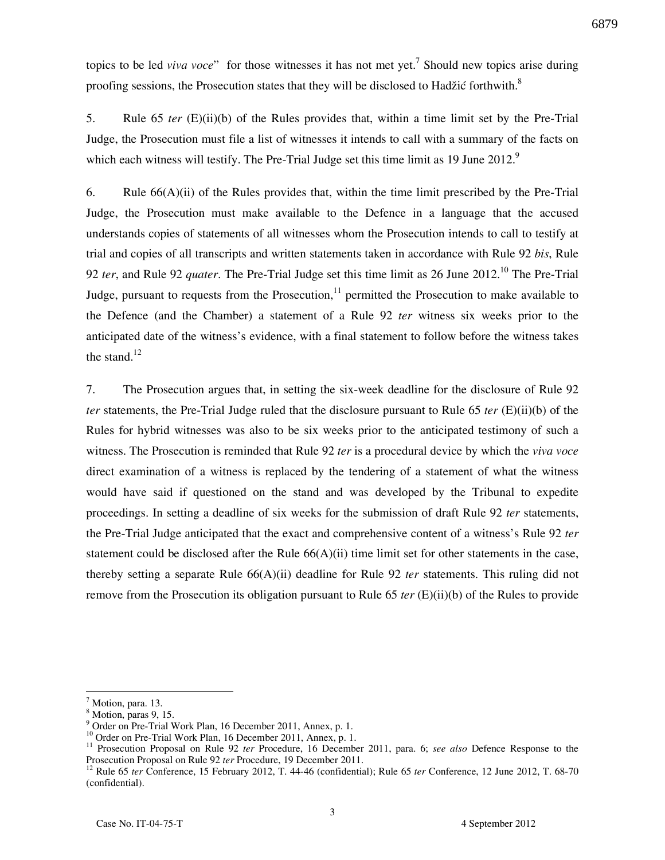topics to be led *viva voce*" for those witnesses it has not met yet.<sup>7</sup> Should new topics arise during proofing sessions, the Prosecution states that they will be disclosed to Hadžić forthwith.<sup>8</sup>

5. Rule 65 *ter* (E)(ii)(b) of the Rules provides that, within a time limit set by the Pre-Trial Judge, the Prosecution must file a list of witnesses it intends to call with a summary of the facts on which each witness will testify. The Pre-Trial Judge set this time limit as 19 June  $2012$ .<sup>9</sup>

6. Rule 66(A)(ii) of the Rules provides that, within the time limit prescribed by the Pre-Trial Judge, the Prosecution must make available to the Defence in a language that the accused understands copies of statements of all witnesses whom the Prosecution intends to call to testify at trial and copies of all transcripts and written statements taken in accordance with Rule 92 *bis*, Rule 92 *ter*, and Rule 92 *quater*. The Pre-Trial Judge set this time limit as 26 June 2012.<sup>10</sup> The Pre-Trial Judge, pursuant to requests from the Prosecution,  $11$  permitted the Prosecution to make available to the Defence (and the Chamber) a statement of a Rule 92 *ter* witness six weeks prior to the anticipated date of the witness's evidence, with a final statement to follow before the witness takes the stand. $12$ 

7. The Prosecution argues that, in setting the six-week deadline for the disclosure of Rule 92 *ter* statements, the Pre-Trial Judge ruled that the disclosure pursuant to Rule 65 *ter* (E)(ii)(b) of the Rules for hybrid witnesses was also to be six weeks prior to the anticipated testimony of such a witness. The Prosecution is reminded that Rule 92 *ter* is a procedural device by which the *viva voce* direct examination of a witness is replaced by the tendering of a statement of what the witness would have said if questioned on the stand and was developed by the Tribunal to expedite proceedings. In setting a deadline of six weeks for the submission of draft Rule 92 *ter* statements, the Pre-Trial Judge anticipated that the exact and comprehensive content of a witness's Rule 92 *ter*  statement could be disclosed after the Rule  $66(A)(ii)$  time limit set for other statements in the case, thereby setting a separate Rule 66(A)(ii) deadline for Rule 92 *ter* statements. This ruling did not remove from the Prosecution its obligation pursuant to Rule 65 *ter* (E)(ii)(b) of the Rules to provide

-

<sup>7</sup> Motion, para. 13.

<sup>8</sup> Motion, paras 9, 15.

<sup>9</sup> Order on Pre-Trial Work Plan, 16 December 2011, Annex, p. 1.

<sup>&</sup>lt;sup>10</sup> Order on Pre-Trial Work Plan, 16 December 2011, Annex, p. 1.

<sup>11</sup> Prosecution Proposal on Rule 92 *ter* Procedure, 16 December 2011, para. 6; *see also* Defence Response to the Prosecution Proposal on Rule 92 *ter* Procedure, 19 December 2011.

<sup>&</sup>lt;sup>12</sup> Rule 65 *ter* Conference, 15 February 2012, T. 44-46 (confidential); Rule 65 *ter* Conference, 12 June 2012, T. 68-70 (confidential).